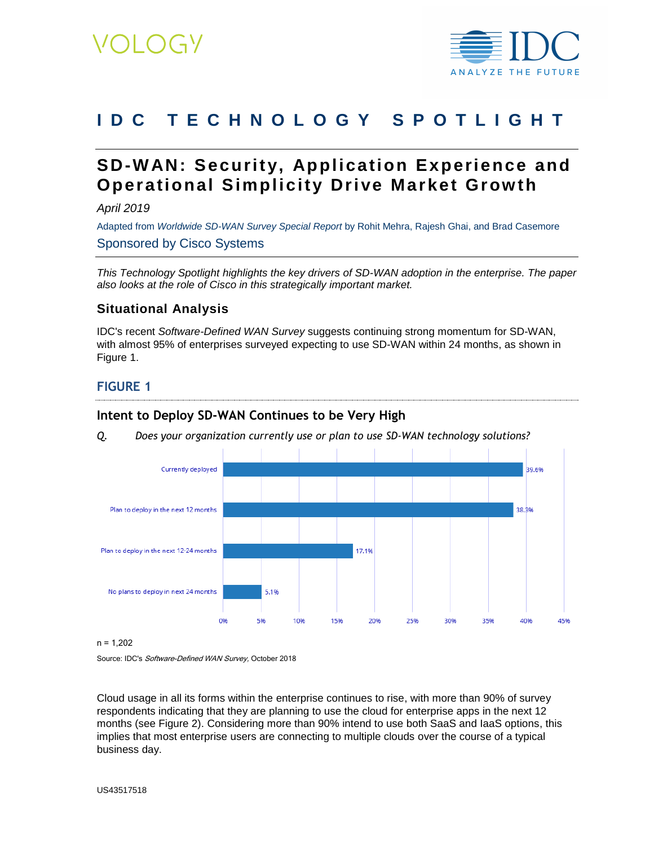

# **IDC T E C H N O L O G Y S P O T L I G H T**

# **SD-WAN: Security, Application Experience and Operational Simplicity Drive Market Grow th**

*April 2019*

Adapted from *Worldwide SD-WAN Survey Special Report* by Rohit Mehra, Rajesh Ghai, and Brad Casemore Sponsored by Cisco Systems

*This Technology Spotlight highlights the key drivers of SD-WAN adoption in the enterprise. The paper also looks at the role of Cisco in this strategically important market.*

#### **Situational Analysis**

IDC's recent *Software-Defined WAN Survey* suggests continuing strong momentum for SD-WAN, with almost 95% of enterprises surveyed expecting to use SD-WAN within 24 months, as shown in Figure 1.

#### **FIGURE 1**

#### **Intent to Deploy SD-WAN Continues to be Very High**

*Q. Does your organization currently use or plan to use SD-WAN technology solutions?*



n = 1,202

Source: IDC's Software-Defined WAN Survey, October 2018

Cloud usage in all its forms within the enterprise continues to rise, with more than 90% of survey respondents indicating that they are planning to use the cloud for enterprise apps in the next 12 months (see Figure 2). Considering more than 90% intend to use both SaaS and IaaS options, this implies that most enterprise users are connecting to multiple clouds over the course of a typical business day.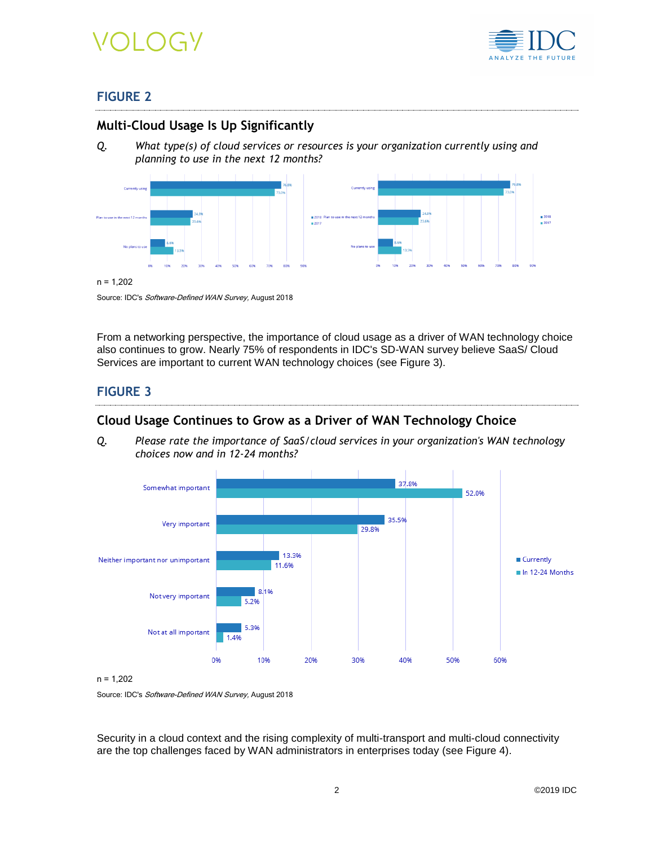



### **FIGURE 2**

#### **Multi-Cloud Usage Is Up Significantly**

*Q. What type(s) of cloud services or resources is your organization currently using and planning to use in the next 12 months?*



#### $n = 1,202$

Source: IDC's Software-Defined WAN Survey, August 2018

From a networking perspective, the importance of cloud usage as a driver of WAN technology choice also continues to grow. Nearly 75% of respondents in IDC's SD-WAN survey believe SaaS/ Cloud Services are important to current WAN technology choices (see Figure 3).

### **FIGURE 3**

#### **Cloud Usage Continues to Grow as a Driver of WAN Technology Choice**

*Q. Please rate the importance of SaaS/cloud services in your organization's WAN technology choices now and in 12-24 months?*



n = 1,202

Source: IDC's Software-Defined WAN Survey, August 2018

Security in a cloud context and the rising complexity of multi-transport and multi-cloud connectivity are the top challenges faced by WAN administrators in enterprises today (see Figure 4).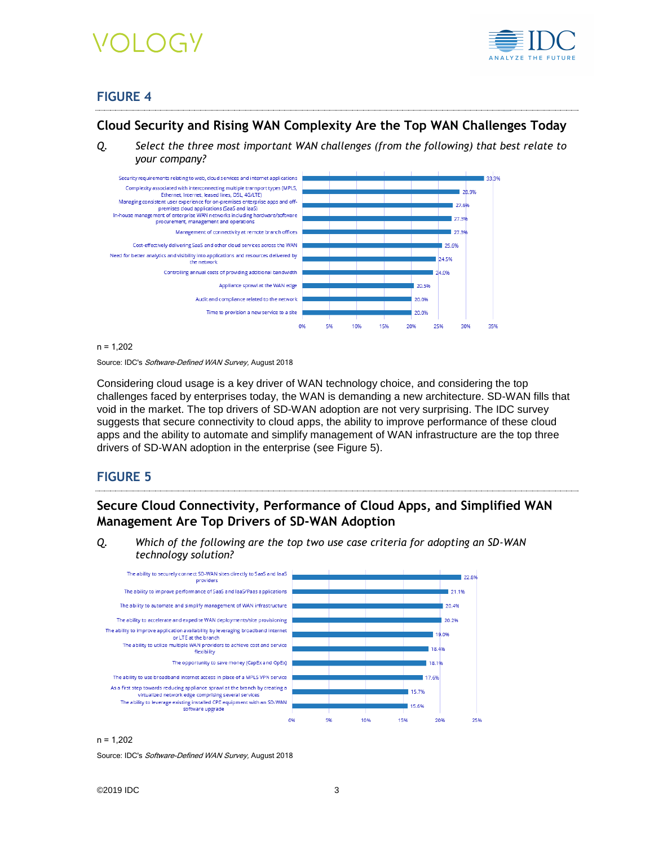# VOLOGY



# **FIGURE 4**

### **Cloud Security and Rising WAN Complexity Are the Top WAN Challenges Today**

*Q. Select the three most important WAN challenges (from the following) that best relate to your company?*





Source: IDC's Software-Defined WAN Survey, August 2018

Considering cloud usage is a key driver of WAN technology choice, and considering the top challenges faced by enterprises today, the WAN is demanding a new architecture. SD-WAN fills that void in the market. The top drivers of SD-WAN adoption are not very surprising. The IDC survey suggests that secure connectivity to cloud apps, the ability to improve performance of these cloud apps and the ability to automate and simplify management of WAN infrastructure are the top three drivers of SD-WAN adoption in the enterprise (see Figure 5).

#### **FIGURE 5**

# **Secure Cloud Connectivity, Performance of Cloud Apps, and Simplified WAN Management Are Top Drivers of SD-WAN Adoption**

*Q. Which of the following are the top two use case criteria for adopting an SD-WAN technology solution?*



#### $n = 1.202$

Source: IDC's Software-Defined WAN Survey, August 2018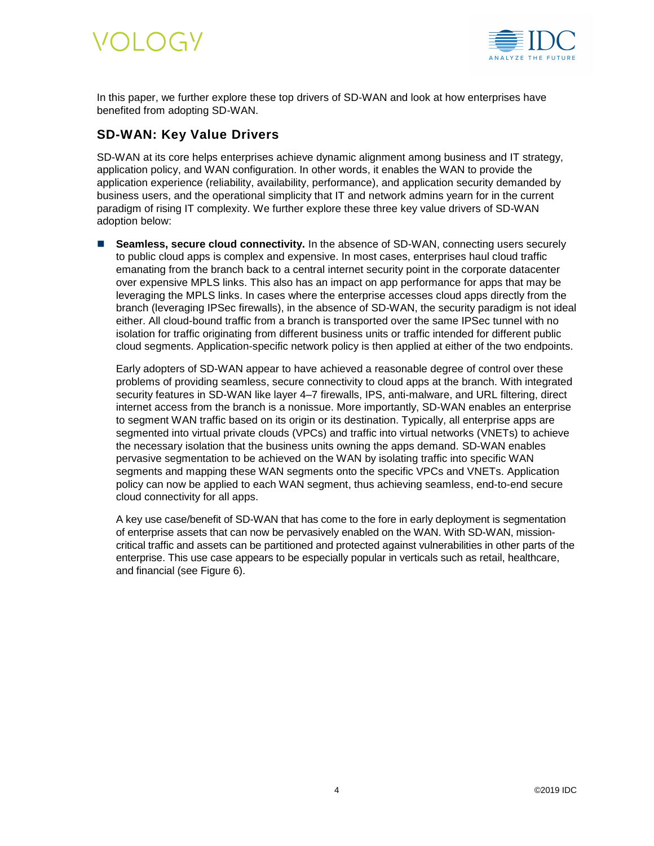

In this paper, we further explore these top drivers of SD-WAN and look at how enterprises have benefited from adopting SD-WAN.

### **SD-WAN: Key Value Drivers**

SD-WAN at its core helps enterprises achieve dynamic alignment among business and IT strategy, application policy, and WAN configuration. In other words, it enables the WAN to provide the application experience (reliability, availability, performance), and application security demanded by business users, and the operational simplicity that IT and network admins yearn for in the current paradigm of rising IT complexity. We further explore these three key value drivers of SD-WAN adoption below:

■ **Seamless, secure cloud connectivity.** In the absence of SD-WAN, connecting users securely to public cloud apps is complex and expensive. In most cases, enterprises haul cloud traffic emanating from the branch back to a central internet security point in the corporate datacenter over expensive MPLS links. This also has an impact on app performance for apps that may be leveraging the MPLS links. In cases where the enterprise accesses cloud apps directly from the branch (leveraging IPSec firewalls), in the absence of SD-WAN, the security paradigm is not ideal either. All cloud-bound traffic from a branch is transported over the same IPSec tunnel with no isolation for traffic originating from different business units or traffic intended for different public cloud segments. Application-specific network policy is then applied at either of the two endpoints.

Early adopters of SD-WAN appear to have achieved a reasonable degree of control over these problems of providing seamless, secure connectivity to cloud apps at the branch. With integrated security features in SD-WAN like layer 4–7 firewalls, IPS, anti-malware, and URL filtering, direct internet access from the branch is a nonissue. More importantly, SD-WAN enables an enterprise to segment WAN traffic based on its origin or its destination. Typically, all enterprise apps are segmented into virtual private clouds (VPCs) and traffic into virtual networks (VNETs) to achieve the necessary isolation that the business units owning the apps demand. SD-WAN enables pervasive segmentation to be achieved on the WAN by isolating traffic into specific WAN segments and mapping these WAN segments onto the specific VPCs and VNETs. Application policy can now be applied to each WAN segment, thus achieving seamless, end-to-end secure cloud connectivity for all apps.

A key use case/benefit of SD-WAN that has come to the fore in early deployment is segmentation of enterprise assets that can now be pervasively enabled on the WAN. With SD-WAN, missioncritical traffic and assets can be partitioned and protected against vulnerabilities in other parts of the enterprise. This use case appears to be especially popular in verticals such as retail, healthcare, and financial (see Figure 6).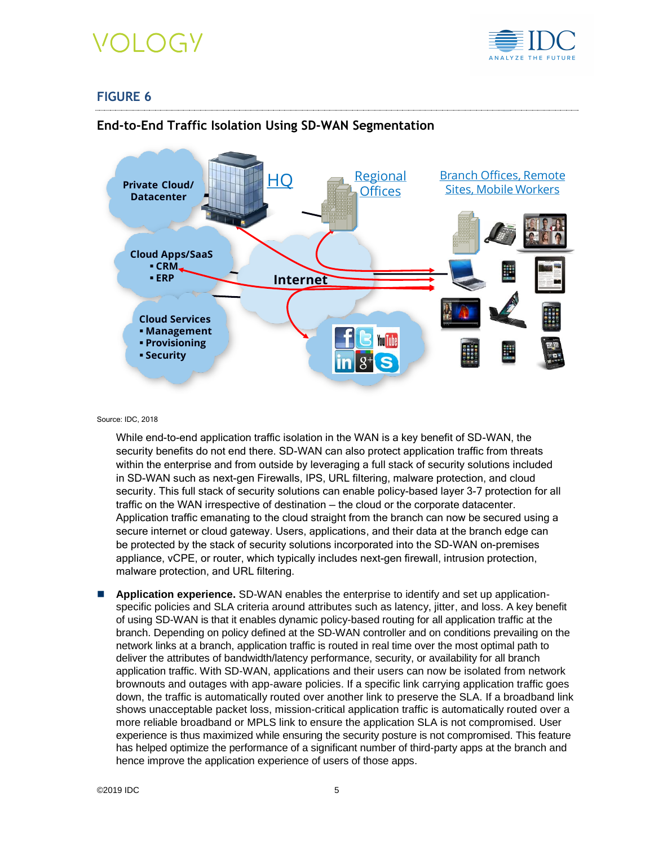

### **FIGURE 6**



#### **End-to-End Traffic Isolation Using SD-WAN Segmentation**

Source: IDC, 2018

While end-to-end application traffic isolation in the WAN is a key benefit of SD-WAN, the security benefits do not end there. SD-WAN can also protect application traffic from threats within the enterprise and from outside by leveraging a full stack of security solutions included in SD-WAN such as next-gen Firewalls, IPS, URL filtering, malware protection, and cloud security. This full stack of security solutions can enable policy-based layer 3-7 protection for all traffic on the WAN irrespective of destination — the cloud or the corporate datacenter. Application traffic emanating to the cloud straight from the branch can now be secured using a secure internet or cloud gateway. Users, applications, and their data at the branch edge can be protected by the stack of security solutions incorporated into the SD-WAN on-premises appliance, vCPE, or router, which typically includes next-gen firewall, intrusion protection, malware protection, and URL filtering.

◼ **Application experience.** SD-WAN enables the enterprise to identify and set up applicationspecific policies and SLA criteria around attributes such as latency, jitter, and loss. A key benefit of using SD-WAN is that it enables dynamic policy-based routing for all application traffic at the branch. Depending on policy defined at the SD-WAN controller and on conditions prevailing on the network links at a branch, application traffic is routed in real time over the most optimal path to deliver the attributes of bandwidth/latency performance, security, or availability for all branch application traffic. With SD-WAN, applications and their users can now be isolated from network brownouts and outages with app-aware policies. If a specific link carrying application traffic goes down, the traffic is automatically routed over another link to preserve the SLA. If a broadband link shows unacceptable packet loss, mission-critical application traffic is automatically routed over a more reliable broadband or MPLS link to ensure the application SLA is not compromised. User experience is thus maximized while ensuring the security posture is not compromised. This feature has helped optimize the performance of a significant number of third-party apps at the branch and hence improve the application experience of users of those apps.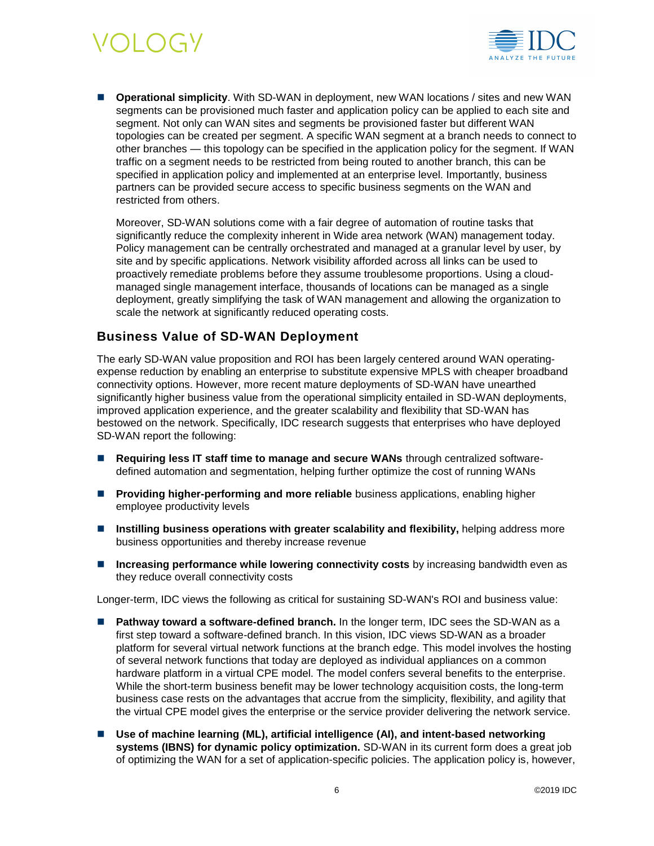

■ **Operational simplicity**. With SD-WAN in deployment, new WAN locations / sites and new WAN segments can be provisioned much faster and application policy can be applied to each site and segment. Not only can WAN sites and segments be provisioned faster but different WAN topologies can be created per segment. A specific WAN segment at a branch needs to connect to other branches — this topology can be specified in the application policy for the segment. If WAN traffic on a segment needs to be restricted from being routed to another branch, this can be specified in application policy and implemented at an enterprise level. Importantly, business partners can be provided secure access to specific business segments on the WAN and restricted from others.

Moreover, SD-WAN solutions come with a fair degree of automation of routine tasks that significantly reduce the complexity inherent in Wide area network (WAN) management today. Policy management can be centrally orchestrated and managed at a granular level by user, by site and by specific applications. Network visibility afforded across all links can be used to proactively remediate problems before they assume troublesome proportions. Using a cloudmanaged single management interface, thousands of locations can be managed as a single deployment, greatly simplifying the task of WAN management and allowing the organization to scale the network at significantly reduced operating costs.

#### **Business Value of SD-WAN Deployment**

The early SD-WAN value proposition and ROI has been largely centered around WAN operatingexpense reduction by enabling an enterprise to substitute expensive MPLS with cheaper broadband connectivity options. However, more recent mature deployments of SD-WAN have unearthed significantly higher business value from the operational simplicity entailed in SD-WAN deployments, improved application experience, and the greater scalability and flexibility that SD-WAN has bestowed on the network. Specifically, IDC research suggests that enterprises who have deployed SD-WAN report the following:

- **Requiring less IT staff time to manage and secure WANs** through centralized softwaredefined automation and segmentation, helping further optimize the cost of running WANs
- **Providing higher-performing and more reliable** business applications, enabling higher employee productivity levels
- Instilling business operations with greater scalability and flexibility, helping address more business opportunities and thereby increase revenue
- Increasing performance while lowering connectivity costs by increasing bandwidth even as they reduce overall connectivity costs

Longer-term, IDC views the following as critical for sustaining SD-WAN's ROI and business value:

- **Pathway toward a software-defined branch.** In the longer term, IDC sees the SD-WAN as a first step toward a software-defined branch. In this vision, IDC views SD-WAN as a broader platform for several virtual network functions at the branch edge. This model involves the hosting of several network functions that today are deployed as individual appliances on a common hardware platform in a virtual CPE model. The model confers several benefits to the enterprise. While the short-term business benefit may be lower technology acquisition costs, the long-term business case rests on the advantages that accrue from the simplicity, flexibility, and agility that the virtual CPE model gives the enterprise or the service provider delivering the network service.
- Use of machine learning (ML), artificial intelligence (AI), and intent-based networking **systems (IBNS) for dynamic policy optimization.** SD-WAN in its current form does a great job of optimizing the WAN for a set of application-specific policies. The application policy is, however,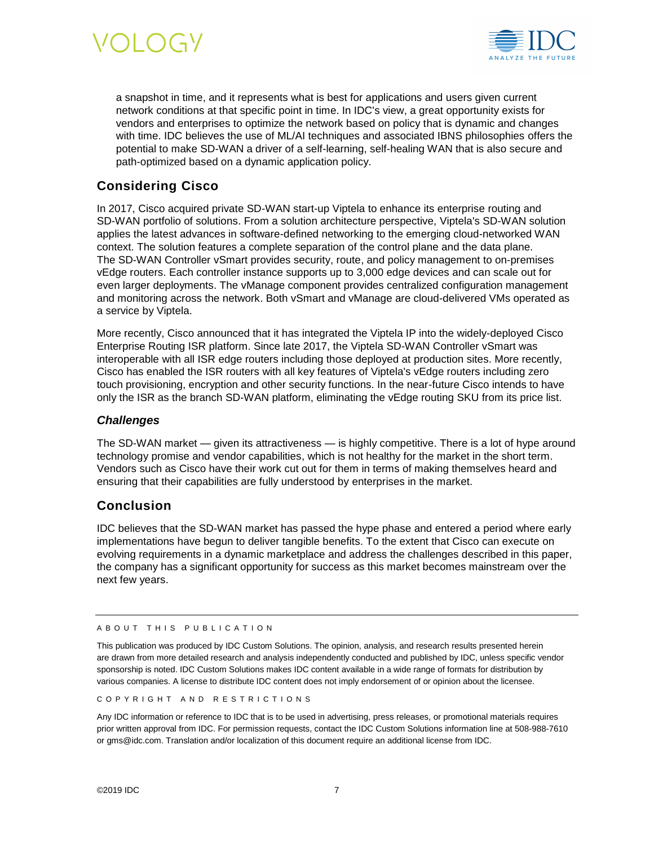



a snapshot in time, and it represents what is best for applications and users given current network conditions at that specific point in time. In IDC's view, a great opportunity exists for vendors and enterprises to optimize the network based on policy that is dynamic and changes with time. IDC believes the use of ML/AI techniques and associated IBNS philosophies offers the potential to make SD-WAN a driver of a self-learning, self-healing WAN that is also secure and path-optimized based on a dynamic application policy.

### **Considering Cisco**

In 2017, Cisco acquired private SD-WAN start-up Viptela to enhance its enterprise routing and SD-WAN portfolio of solutions. From a solution architecture perspective, Viptela's SD-WAN solution applies the latest advances in software-defined networking to the emerging cloud-networked WAN context. The solution features a complete separation of the control plane and the data plane. The SD-WAN Controller vSmart provides security, route, and policy management to on-premises vEdge routers. Each controller instance supports up to 3,000 edge devices and can scale out for even larger deployments. The vManage component provides centralized configuration management and monitoring across the network. Both vSmart and vManage are cloud-delivered VMs operated as a service by Viptela.

More recently, Cisco announced that it has integrated the Viptela IP into the widely-deployed Cisco Enterprise Routing ISR platform. Since late 2017, the Viptela SD-WAN Controller vSmart was interoperable with all ISR edge routers including those deployed at production sites. More recently, Cisco has enabled the ISR routers with all key features of Viptela's vEdge routers including zero touch provisioning, encryption and other security functions. In the near-future Cisco intends to have only the ISR as the branch SD-WAN platform, eliminating the vEdge routing SKU from its price list.

#### *Challenges*

The SD-WAN market — given its attractiveness — is highly competitive. There is a lot of hype around technology promise and vendor capabilities, which is not healthy for the market in the short term. Vendors such as Cisco have their work cut out for them in terms of making themselves heard and ensuring that their capabilities are fully understood by enterprises in the market.

#### **Conclusion**

IDC believes that the SD-WAN market has passed the hype phase and entered a period where early implementations have begun to deliver tangible benefits. To the extent that Cisco can execute on evolving requirements in a dynamic marketplace and address the challenges described in this paper, the company has a significant opportunity for success as this market becomes mainstream over the next few years.

#### A B O U T T H I S P U B L I C A T I O N

This publication was produced by IDC Custom Solutions. The opinion, analysis, and research results presented herein are drawn from more detailed research and analysis independently conducted and published by IDC, unless specific vendor sponsorship is noted. IDC Custom Solutions makes IDC content available in a wide range of formats for distribution by various companies. A license to distribute IDC content does not imply endorsement of or opinion about the licensee.

COPYRIGHT AND RESTRICTIONS

Any IDC information or reference to IDC that is to be used in advertising, press releases, or promotional materials requires prior written approval from IDC. For permission requests, contact the IDC Custom Solutions information line at 508-988-7610 or gms@idc.com. Translation and/or localization of this document require an additional license from IDC.